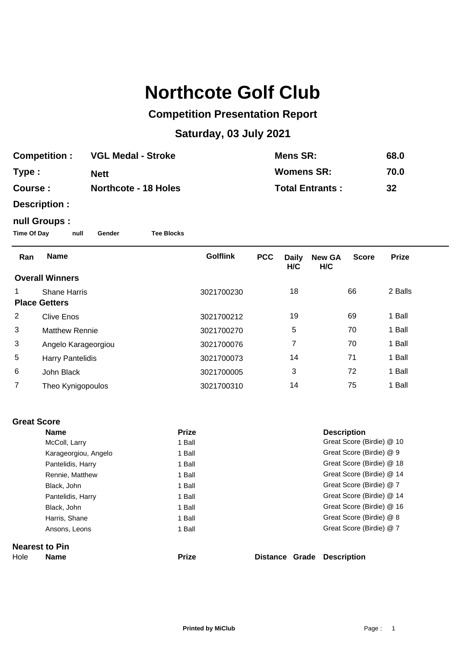# **Northcote Golf Club**

### **Competition Presentation Report**

## **Saturday, 03 July 2021**

| <b>Competition:</b> | <b>VGL Medal - Stroke</b>   | Mens SR:               | 68.0 |
|---------------------|-----------------------------|------------------------|------|
| Type:               | <b>Nett</b>                 | <b>Womens SR:</b>      | 70.0 |
| Course :            | <b>Northcote - 18 Holes</b> | <b>Total Entrants:</b> | 32   |

**Description :**

#### **null Groups :**

**Time Of Day null Gender Tee Blocks**

| Ran                  | <b>Name</b>             | <b>Golflink</b> | <b>PCC</b> | <b>Daily</b><br>H/C | <b>New GA</b><br>H/C | <b>Score</b> | <b>Prize</b> |
|----------------------|-------------------------|-----------------|------------|---------------------|----------------------|--------------|--------------|
|                      | <b>Overall Winners</b>  |                 |            |                     |                      |              |              |
|                      | <b>Shane Harris</b>     | 3021700230      |            | 18                  |                      | 66           | 2 Balls      |
| <b>Place Getters</b> |                         |                 |            |                     |                      |              |              |
| 2                    | <b>Clive Enos</b>       | 3021700212      |            | 19                  |                      | 69           | 1 Ball       |
| 3                    | <b>Matthew Rennie</b>   | 3021700270      |            | 5                   |                      | 70           | 1 Ball       |
| 3                    | Angelo Karageorgiou     | 3021700076      |            | 7                   |                      | 70           | 1 Ball       |
| 5                    | <b>Harry Pantelidis</b> | 3021700073      |            | 14                  |                      | 71           | 1 Ball       |
| 6                    | John Black              | 3021700005      |            | 3                   |                      | 72           | 1 Ball       |
| 7                    | Theo Kynigopoulos       | 3021700310      |            | 14                  |                      | 75           | 1 Ball       |

#### **Great Score**

|                       | <b>Name</b>          | <b>Prize</b> |                | <b>Description</b>        |  |
|-----------------------|----------------------|--------------|----------------|---------------------------|--|
|                       | McColl, Larry        | 1 Ball       |                | Great Score (Birdie) @ 10 |  |
|                       | Karageorgiou, Angelo | 1 Ball       |                | Great Score (Birdie) @ 9  |  |
|                       | Pantelidis, Harry    | 1 Ball       |                | Great Score (Birdie) @ 18 |  |
|                       | Rennie, Matthew      | 1 Ball       |                | Great Score (Birdie) @ 14 |  |
|                       | Black, John          | 1 Ball       |                | Great Score (Birdie) @ 7  |  |
|                       | Pantelidis, Harry    | 1 Ball       |                | Great Score (Birdie) @ 14 |  |
|                       | Black, John          | 1 Ball       |                | Great Score (Birdie) @ 16 |  |
|                       | Harris, Shane        | 1 Ball       |                | Great Score (Birdie) @ 8  |  |
|                       | Ansons, Leons        | 1 Ball       |                | Great Score (Birdie) @ 7  |  |
| <b>Nearest to Pin</b> |                      |              |                |                           |  |
| Hole                  | <b>Name</b>          | <b>Prize</b> | Distance Grade | <b>Description</b>        |  |